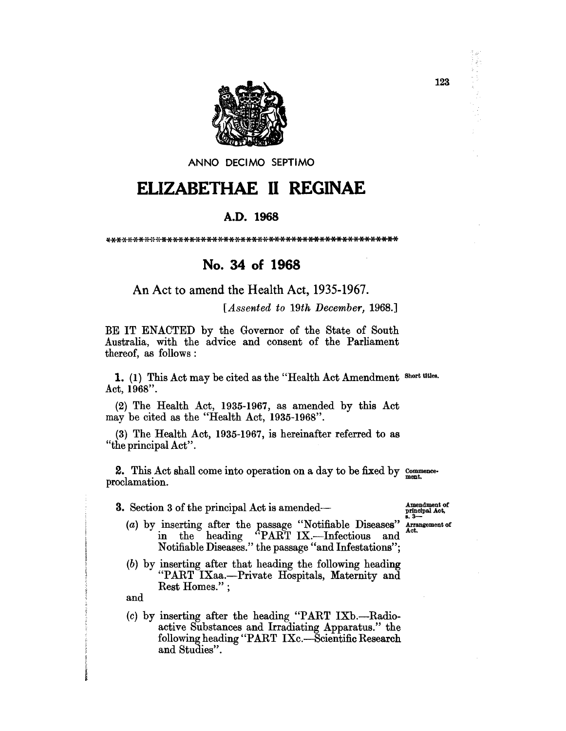

ANNO DECIMO SEPTIMO

# ELIZABETHAE II REGINAE

### A.D. 1968

## No. 34 of 1968

An Act to amend the Health Act, 1935-1967.

[Assented to 19th December, 1968.]

BE IT ENACTED by the Governor of the State of South Australia, with the advice and consent of the Parliament thereof, as follows:

1. (1) This Act may be cited as the "Health Act Amendment Short titles. Act, 1968".

(2) The Health Act, 1935-1967, as amended by this Act may be cited as the "Health Act, 1935-1968".

(3) The Health Act, 1935-1967, is hereinafter referred to as "the principal Act".

2. This Act shall come into operation on a day to be fixed by  $\frac{\text{Commero}}{\text{ment}}$ . proclamation.

**3.** Section 3 of the principal Act is amended—

Amendment of<br>principal Act,

- (a) by inserting after the passage "Notifiable Diseases" in the heading "PART IX.---Infectious and Arrangement of Act. Notifiable Diseases." the passage "and Infestations";
- $(b)$  by inserting after that heading the following heading "PART IXaa.-- Private Hospitals, Maternity and Rest Homes.";

and

 $(c)$  by inserting after the heading "PART IXb.—Radioactive Substances and Irradiating Apparatus." the following heading "PART IXc.-Scientific Research and Studies".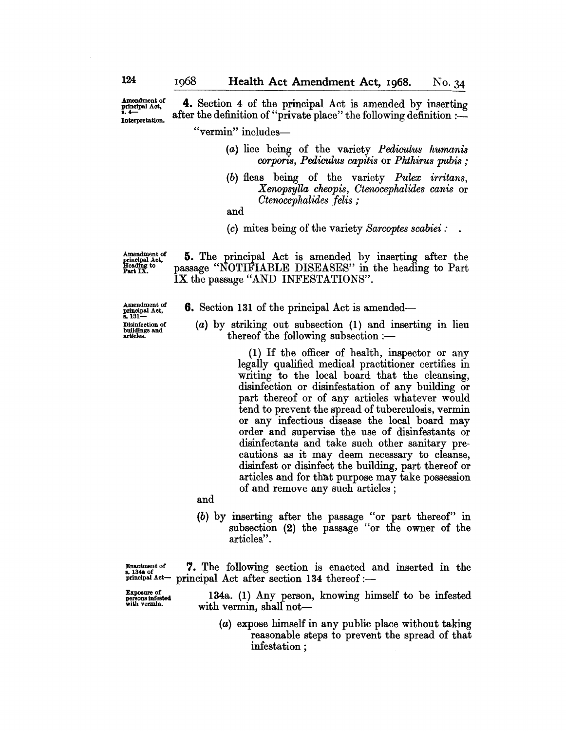Amendment of<br>principal Act,<br>s. 4— Interpretation.

4. Section 4 of the principal Act is amended by inserting after the definition of "private place" the following definition :-

"vermin" includes-

- *(a)* lice being of the variety *Pediculus humanis corporis, Pediculus capitis* or *Phthirus pubis ;*
- *(b)* fleas being of the variety *Pulex irritans, Xenopsylla cheopis, Ctenocephalides canis* or *Ctenocephalides felis ;*

and

*(c)* mites being of the variety *Sarcoptes scabiei :* 

Amendment of principal Act. Heading to Part IX.

5. The principal Act is amended by inserting after the passage "NOTIFIABLE DISEASES" in the heading to Part IX the passage "AND INFESTATIONS".

Amendment of<br>principal Act,<br>s. 131— Disinfection of buildings and articles.

- **6.** Section 131 of the principal Act is amended—
	- $(a)$  by striking out subsection  $(1)$  and inserting in lieu thereof the following subsection  $:$

(1) If the officer of health, inspector or any legally qualified medical practitioner certifies in writing to the local board that the cleansing, disinfection or disinfestation of any building or part thereof or of any articles whatever would tend to prevent the spread of tuberculosis, vermin or any infectious disease the local board may order and supervise the use of disinfestants or disinfectants and take such other sanitary precautions as it may deem necessary to cleanse, disinfest or disinfect the building, part thereof or articles and for that purpose may take possession of and remove any such articles;

and

(b) by inserting after the passage "or part thereof" in subsection (2) the passage "or the owner of the articles".

 $x_{\text{insectment of}}$  7. The following section is enacted and inserted in the \*. 134a of<br>principal Act- principal Act after section 134 thereof:-

:e~=!ted 134a. (1) Any person, knowing himself to be infested with vermin, shall not-

> (a) expose himself in any public place without taking reasonable steps to prevent the spread of that infestation;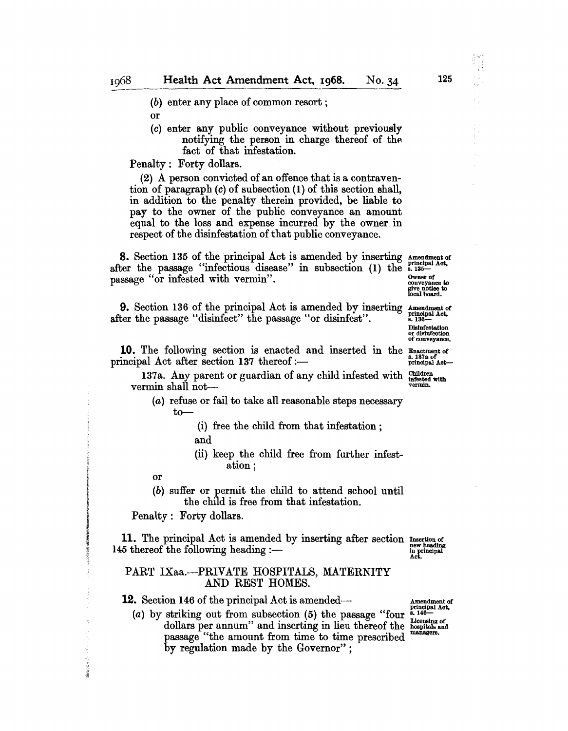(b) enter any place of common resort;

or

(c) enter any public conveyance without previously notifying the person in charge thereof of the fact of that infestation.

Penalty: Forty dollars.

(2) A person convicted of an offence that is a contravention of paragraph (c) of subsection (1) of this section shall, in addition to the penalty therein provided, be liable to pay to the owner of the public conveyance an amount equal to the loss and expense incurred by the owner in respect of the disinfestation of that public conveyance.

8. Section 135 of the principal Act is amended by inserting Amendmentof after the passage "infectious disease" in subsection (1) the 8.135passage "or infested with vermin".

**9.** Section 136 of the principal Act is amended by inserting  $\Delta$  amendment of the passage "disinfect" the passage "or disinfest". after the passage "disinfect" the passage "or disinfest".

**10.** The following section is enacted and inserted in the  $\frac{\text{g}_{\text{n}}\text{a} \cdot \text{h}}{\text{g}_{\text{n}}\text{a} \cdot \text{h}}$  principal Act after section 137 thereof :-

137a. Any parent or guardian of any child infested with  $\frac{\text{Children}}{\text{threshold}}$  with vermin.

#### (a) refuse or fail to take all reasonable steps necessary to-

- (i) free the child from that infestation; and
- (ii) keep the child free from further infestation;

or

(b) suffer or permit the child to attend school until the child is free from that infestation.

Penalty: Forty dollars.

11. The principal Act is amended by inserting after section Insertion of 145 thereof the following heading:in principal<br>Act.

#### PART IXaa.-PRIVATE HOSPITALS, MATERNITY AND REST HOMES.

12. Section 146 of the principal Act is amended—

(a) by striking out from subsection  $(5)$  the passage "four dollars per annum" and inserting in lieu thereof the hospitals and<br>noscapes. "the emount from time to time precedibel managers." passage "the amount from time to time prescribed by regulation made by the Governor" ;

Amendment of<br>principal Act,<br>s. 146-

Disinfestation

or disinfection of conveyance.

give notice to local board.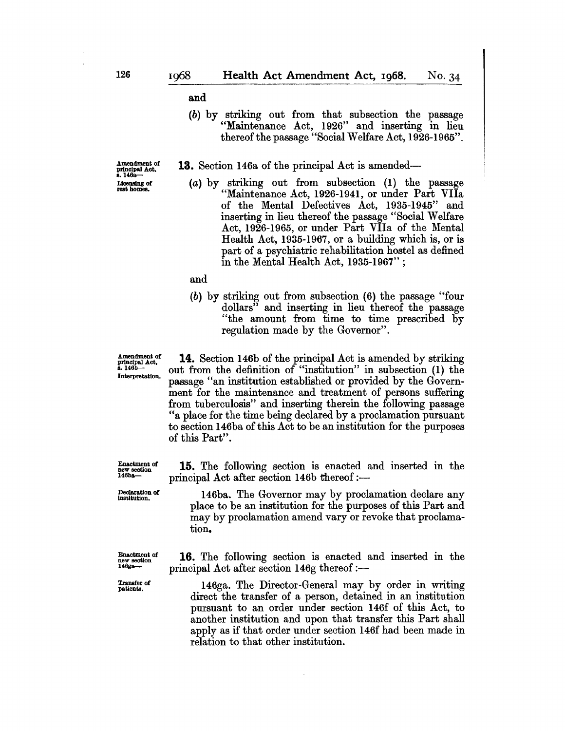and

(b) by striking out from that subsection the passage "Maintenance Act, 1926" and inserting in lieu thereof the passage "Social Welfare Act, 1926-1965".

**13.** Section 146a of the principal Act is amended—

Amendment of<br>principal Act,<br>s. 146a— Licensing of<br>rest homes.

(a) by striking out from subsection (1) the passage "Maintenance Act, 1926-1941, or under Part VHa of the Mental Defectives Act, 1935-1945" and inserting in lieu thereof the passage "Social Welfare Act, 1926-1965, or under Part VHa of the Mental Health Act, 1935-1967, or a building which is, or is part of a psychiatric rehabilitation hostel as defined in the Mental Health Act, 1935-1967" ;

#### and

tion.

(b) by striking out from subsection (6) the passage "four dollars" and inserting in lieu thereof the passage "the amount from time to time prescribed by regulation made by the Governor".

Amendment of principal Act,<br>s. 146b— Interpretation.

14. Section 146b of the principal Act is amended by striking out from the definition of "institution" in subsection (1) the passage "an institution established or provided by the Government for the maintenance and treatment of persons suffering from tuberculosis" and inserting therein the following passage "a place for the time being declared by a proclamation pursuant to section 146ba of this Act to be an institution for the purposes of this Part".

15. The following section is enacted and inserted in the principal Act after section 146b thereof:-

146ba. The Governor may by proclamation declare any place to be an institution for the purposes of this Part and may by proclamation amend vary or revoke that proclama-

Declaration of<br>institution.

16. The following section is enacted and inserted in the principal Act after section  $146g$  thereof :-

146ga. The Director-General may by order in writing direct the transfer of a person, detained in an institution pursuant to an order under section 146f of this Act, to another institution and upon that transfer this Part shall apply as if that order under section 146f had been made in relation to that other institution.

Enactment of<br>new section<br>146ba--

Enactment of<br>new section<br>146ga—

Transfer of patients.